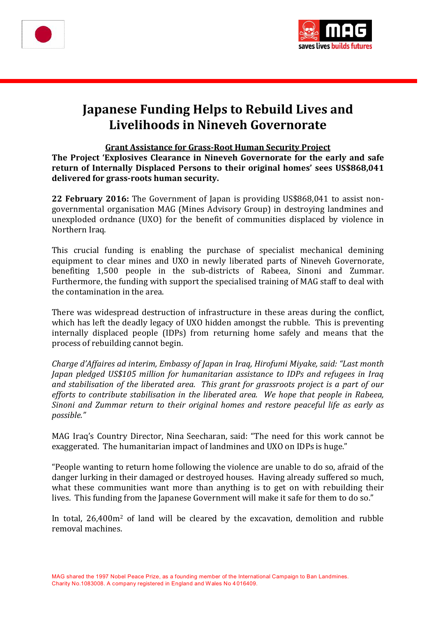



# **Japanese Funding Helps to Rebuild Lives and Livelihoods in Nineveh Governorate**

## **Grant Assistance for Grass-Root Human Security Project**

**The Project 'Explosives Clearance in Nineveh Governorate for the early and safe return of Internally Displaced Persons to their original homes' sees US\$868,041 delivered for grass-roots human security.** 

**22 February 2016:** The Government of Japan is providing US\$868,041 to assist nongovernmental organisation MAG (Mines Advisory Group) in destroying landmines and unexploded ordnance (UXO) for the benefit of communities displaced by violence in Northern Iraq.

This crucial funding is enabling the purchase of specialist mechanical demining equipment to clear mines and UXO in newly liberated parts of Nineveh Governorate, benefiting 1,500 people in the sub-districts of Rabeea, Sinoni and Zummar. Furthermore, the funding with support the specialised training of MAG staff to deal with the contamination in the area.

There was widespread destruction of infrastructure in these areas during the conflict, which has left the deadly legacy of UXO hidden amongst the rubble. This is preventing internally displaced people (IDPs) from returning home safely and means that the process of rebuilding cannot begin.

*Charge d'Affaires ad interim, Embassy of Japan in Iraq, Hirofumi Miyake, said: "Last month Japan pledged US\$105 million for humanitarian assistance to IDPs and refugees in Iraq and stabilisation of the liberated area. This grant for grassroots project is a part of our efforts to contribute stabilisation in the liberated area. We hope that people in Rabeea, Sinoni and Zummar return to their original homes and restore peaceful life as early as possible."*

MAG Iraq's Country Director, Nina Seecharan, said: "The need for this work cannot be exaggerated. The humanitarian impact of landmines and UXO on IDPs is huge."

"People wanting to return home following the violence are unable to do so, afraid of the danger lurking in their damaged or destroyed houses. Having already suffered so much, what these communities want more than anything is to get on with rebuilding their lives. This funding from the Japanese Government will make it safe for them to do so."

In total, 26,400m<sup>2</sup> of land will be cleared by the excavation, demolition and rubble removal machines.